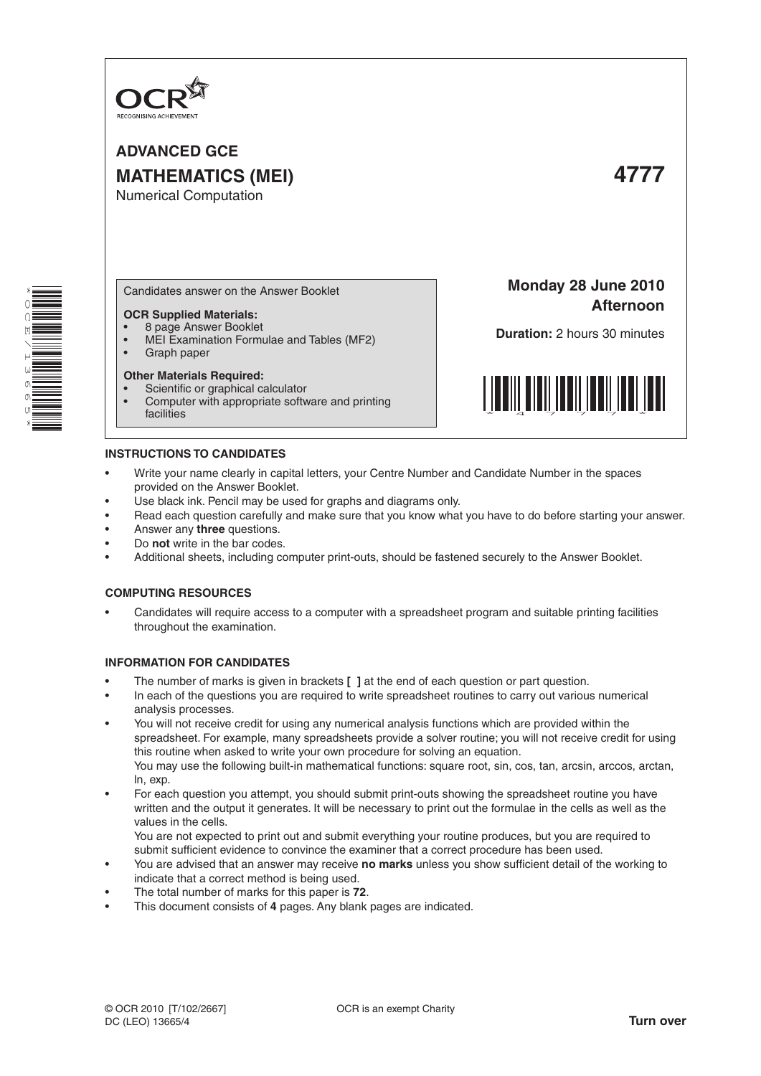

**ADVANCED GCE MATHEMATICS (MEI) 4777** Numerical Computation



Candidates answer on the Answer Booklet

#### **OCR Supplied Materials:**

- 8 page Answer Booklet
- MEI Examination Formulae and Tables (MF2) Graph paper

# **Other Materials Required:**

- Scientific or graphical calculator
- Computer with appropriate software and printing facilities

**Monday 28 June 2010 Afternoon**

**Duration:** 2 hours 30 minutes



### **INSTRUCTIONS TO CANDIDATES**

- Write your name clearly in capital letters, your Centre Number and Candidate Number in the spaces provided on the Answer Booklet.
- Use black ink. Pencil may be used for graphs and diagrams only.
- Read each question carefully and make sure that you know what you have to do before starting your answer.
- Answer any **three** questions.
- Do **not** write in the bar codes.
- Additional sheets, including computer print-outs, should be fastened securely to the Answer Booklet.

#### **COMPUTING RESOURCES**

Candidates will require access to a computer with a spreadsheet program and suitable printing facilities throughout the examination.

#### **INFORMATION FOR CANDIDATES**

- The number of marks is given in brackets [ ] at the end of each question or part question.
- In each of the questions you are required to write spreadsheet routines to carry out various numerical analysis processes.
- You will not receive credit for using any numerical analysis functions which are provided within the spreadsheet. For example, many spreadsheets provide a solver routine; you will not receive credit for using this routine when asked to write your own procedure for solving an equation. You may use the following built-in mathematical functions: square root, sin, cos, tan, arcsin, arccos, arctan, ln, exp.
- For each question you attempt, you should submit print-outs showing the spreadsheet routine you have written and the output it generates. It will be necessary to print out the formulae in the cells as well as the values in the cells.

 You are not expected to print out and submit everything your routine produces, but you are required to submit sufficient evidence to convince the examiner that a correct procedure has been used.

- You are advised that an answer may receive **no marks** unless you show sufficient detail of the working to indicate that a correct method is being used.
- The total number of marks for this paper is 72.
- This document consists of 4 pages. Any blank pages are indicated.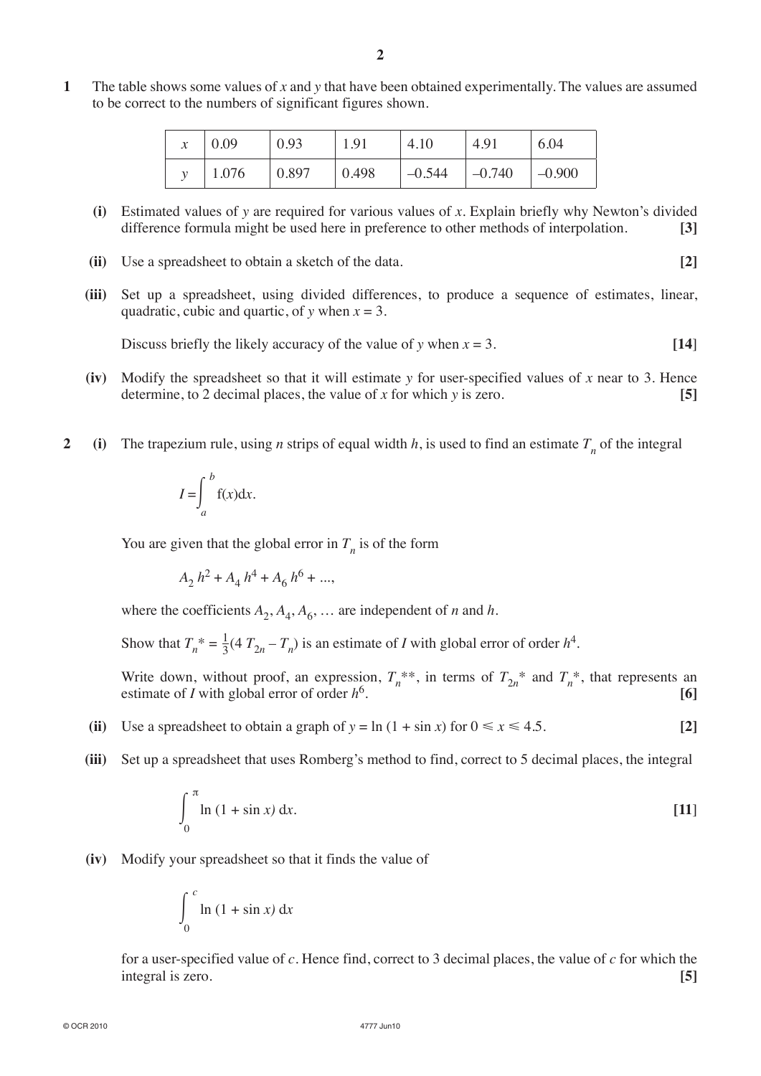**1** The table shows some values of *x* and *y* that have been obtained experimentally. The values are assumed to be correct to the numbers of significant figures shown.

| $\mathcal{X}$ | 0.09  | 0.93  | 1.91  | 4.10     | 4.91     | 6.04     |
|---------------|-------|-------|-------|----------|----------|----------|
|               | 1.076 | 0.897 | 0.498 | $-0.544$ | $-0.740$ | $-0.900$ |

- **(i)** Estimated values of *y* are required for various values of *x*. Explain briefly why Newton's divided difference formula might be used here in preference to other methods of interpolation. **[3]**
- **(ii)** Use a spreadsheet to obtain a sketch of the data. **[2]**
- **(iii)** Set up a spreadsheet, using divided differences, to produce a sequence of estimates, linear, quadratic, cubic and quartic, of *y* when *x* = 3.

Discuss briefly the likely accuracy of the value of *y* when  $x = 3$ . [14]

- **(iv)** Modify the spreadsheet so that it will estimate *y* for user-specified values of *x* near to 3. Hence determine, to 2 decimal places, the value of *x* for which *y* is zero. **[5]**
- **2 (i)** The trapezium rule, using *n* strips of equal width *h*, is used to find an estimate  $T_n$  of the integral

$$
I = \int_{a}^{b} f(x) \mathrm{d}x.
$$

You are given that the global error in  $T<sub>n</sub>$  is of the form

 $A_2 h^2 + A_4 h^4 + A_6 h^6 + ...$ 

where the coefficients  $A_2$ ,  $A_4$ ,  $A_6$ , ... are independent of *n* and *h*.

Show that  $T_n^* = \frac{1}{3} (4 T_{2n} - T_n)$  is an estimate of *I* with global error of order  $h^4$ .

Write down, without proof, an expression,  $T_n^{**}$ , in terms of  $T_{2n}^{*}$  and  $T_n^{*}$ , that represents an estimate of *I* with global error of order  $h^6$ . estimate of *I* with global error of order  $h^6$ .

- (ii) Use a spreadsheet to obtain a graph of  $y = \ln(1 + \sin x)$  for  $0 \le x \le 4.5$ . [2]
- **(iii)** Set up a spreadsheet that uses Romberg's method to find, correct to 5 decimal places, the integral

$$
\int_0^{\pi} \ln\left(1 + \sin x\right) \,\mathrm{d}x. \tag{11}
$$

**(iv)** Modify your spreadsheet so that it finds the value of

$$
\int_0^c \ln\left(1+\sin x\right) \mathrm{d}x
$$

for a user-specified value of *c*. Hence find, correct to 3 decimal places, the value of *c* for which the integral is zero. **[5]**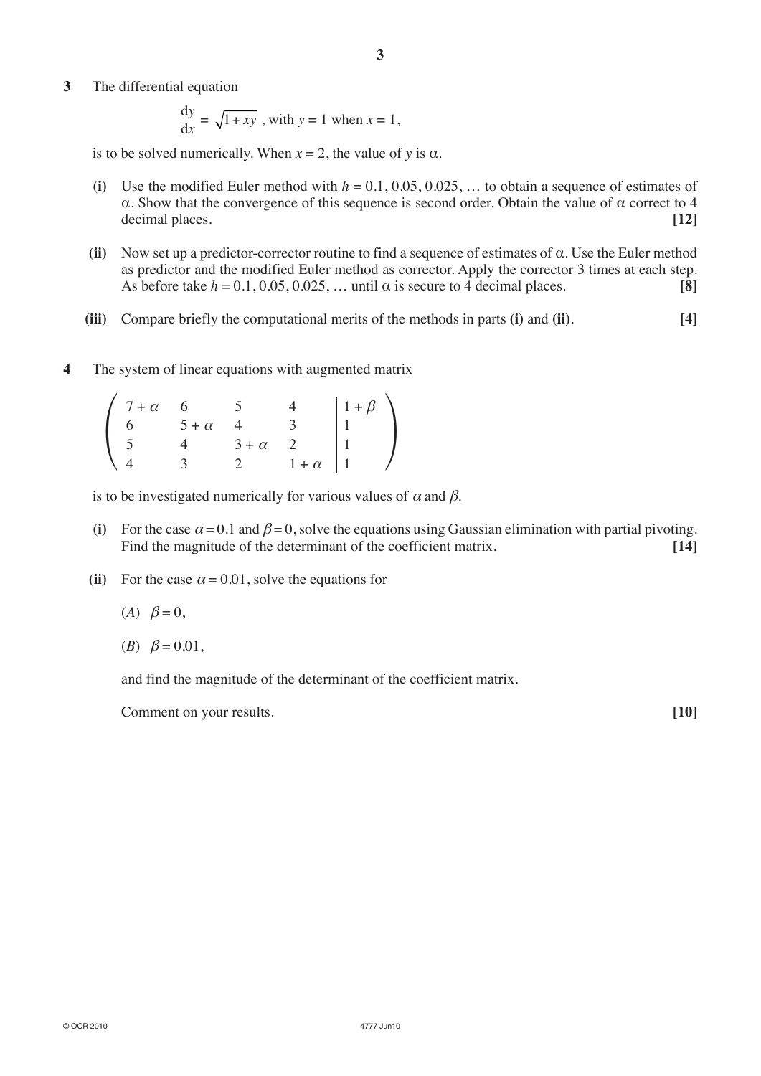**3** The differential equation

$$
\frac{dy}{dx} = \sqrt{1 + xy}
$$
, with  $y = 1$  when  $x = 1$ ,

is to be solved numerically. When  $x = 2$ , the value of *y* is  $\alpha$ .

- (i) Use the modified Euler method with  $h = 0.1, 0.05, 0.025, \ldots$  to obtain a sequence of estimates of α. Show that the convergence of this sequence is second order. Obtain the value of α correct to 4 decimal places. **[12**]
- **(ii)** Now set up a predictor-corrector routine to find a sequence of estimates of α. Use the Euler method as predictor and the modified Euler method as corrector. Apply the corrector 3 times at each step. As before take  $h = 0.1, 0.05, 0.025, \ldots$  until  $\alpha$  is secure to 4 decimal places. **[8]**
- **(iii)** Compare briefly the computational merits of the methods in parts **(i)** and **(ii)**. **[4]**
- **4** The system of linear equations with augmented matrix

| $7 + \alpha$ |              |              |            | $1+\beta$ |
|--------------|--------------|--------------|------------|-----------|
|              | $5 + \alpha$ |              |            |           |
|              |              | $3 + \alpha$ |            |           |
|              |              |              | $+ \alpha$ |           |

is to be investigated numerically for various values of  $\alpha$  and  $\beta$ .

- (i) For the case  $\alpha = 0.1$  and  $\beta = 0$ , solve the equations using Gaussian elimination with partial pivoting. Find the magnitude of the determinant of the coefficient matrix. [14]
- (ii) For the case  $\alpha = 0.01$ , solve the equations for
	- $(A)$   $\beta = 0$ ,
	- (*B*)  $\beta = 0.01$ ,

and find the magnitude of the determinant of the coefficient matrix.

Comment on your results. **[10**]